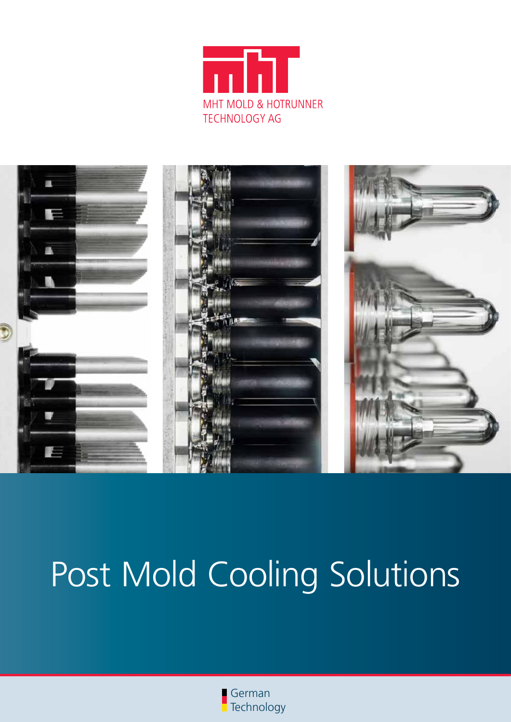



# Post Mold Cooling Solutions

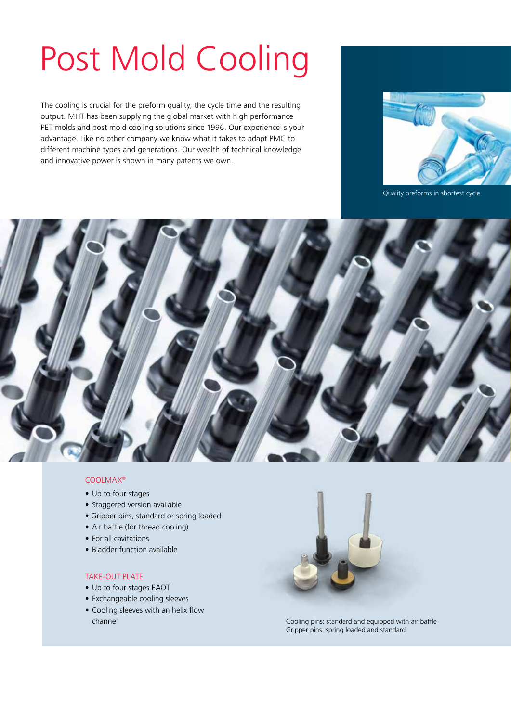## Post Mold Cooling

The cooling is crucial for the preform quality, the cycle time and the resulting output. MHT has been supplying the global market with high performance PET molds and post mold cooling solutions since 1996. Our experience is your advantage. Like no other company we know what it takes to adapt PMC to different machine types and generations. Our wealth of technical knowledge and innovative power is shown in many patents we own.



Quality preforms in shortest cycle



#### CoolMax®

- Up to four stages
- Staggered version available
- Gripper pins, standard or spring loaded
- Air baffle (for thread cooling)
- For all cavitations
- • Bladder function available

#### Take-OUT Plate

- Up to four stages EAOT
- Exchangeable cooling sleeves
- Cooling sleeves with an helix flow



channel Cooling pins: standard and equipped with air baffle Gripper pins: spring loaded and standard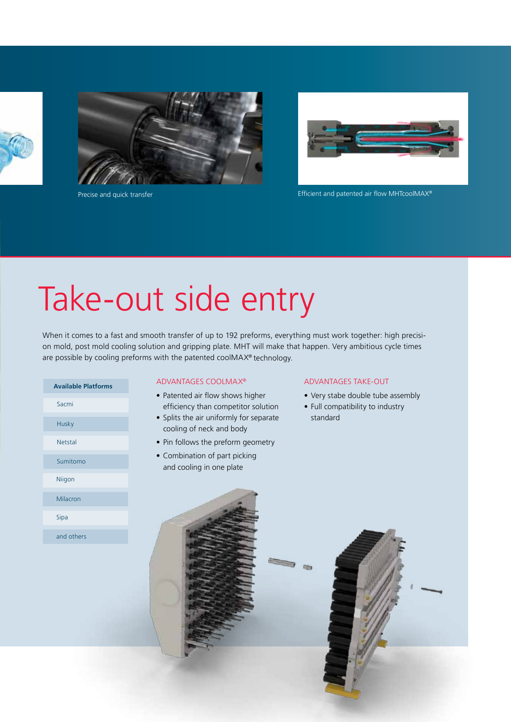



Precise and quick transfer



Efficient and patented air flow MHTcoolMAX®

## Take-out side entry

When it comes to a fast and smooth transfer of up to 192 preforms, everything must work together: high precision mold, post mold cooling solution and gripping plate. MHT will make that happen. Very ambitious cycle times are possible by cooling preforms with the patented coolMAX® technology.

| <b>Available Platforms</b> |
|----------------------------|
| Sacmi                      |
| Husky                      |
| Netstal                    |
| Sumitomo                   |
| Niigon                     |
| Milacron                   |
| Sipa                       |
| and others                 |

#### ADVANTAGES CoolMax®

- Patented air flow shows higher efficiency than competitor solution
- Splits the air uniformly for separate cooling of neck and body
- Pin follows the preform geometry
- Combination of part picking and cooling in one plate

#### ADVANTAGES Take-out

- Very stabe double tube assembly
- Full compatibility to industry standard

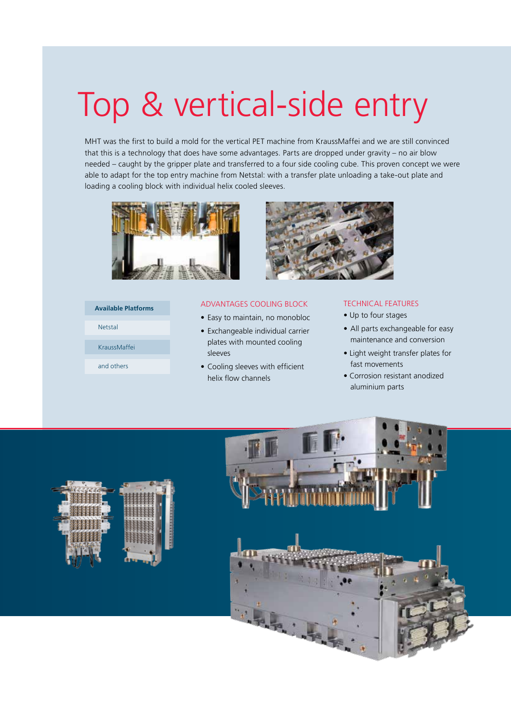## Top & vertical-side entry

MHT was the first to build a mold for the vertical PET machine from KraussMaffei and we are still convinced that this is a technology that does have some advantages. Parts are dropped under gravity – no air blow needed – caught by the gripper plate and transferred to a four side cooling cube. This proven concept we were able to adapt for the top entry machine from Netstal: with a transfer plate unloading a take-out plate and loading a cooling block with individual helix cooled sleeves.



#### **Available Platforms**

KraussMaffei

and others

Netstal

#### ADVANTAGES Cooling Block

- Easy to maintain, no monobloc
- Exchangeable individual carrier plates with mounted cooling sleeves
- • Cooling sleeves with efficient helix flow channels

#### Technical Features

- Up to four stages
- All parts exchangeable for easy maintenance and conversion
- Light weight transfer plates for fast movements
- Corrosion resistant anodized aluminium parts



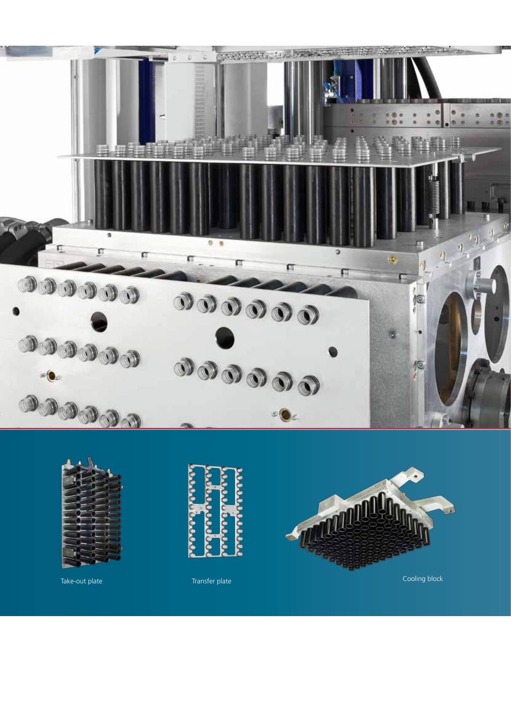



Take-out plate Transfer plate Transfer plate Transfer Cooling block



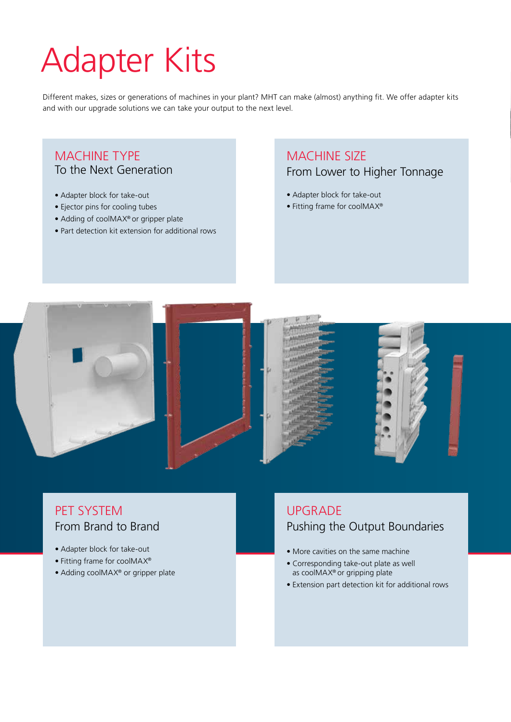## Adapter Kits

Different makes, sizes or generations of machines in your plant? MHT can make (almost) anything fit. We offer adapter kits and with our upgrade solutions we can take your output to the next level.

### MACHINE TYPE To the Next Generation

- Adapter block for take-out
- Ejector pins for cooling tubes
- Adding of coolMAX® or gripper plate
- Part detection kit extension for additional rows

### MACHINE SIZE From Lower to Higher Tonnage

- Adapter block for take-out
- Fitting frame for coolMAX®



### PET SYSTEM From Brand to Brand

- Adapter block for take-out
- Fitting frame for coolMAX®
- Adding coolMAX<sup>®</sup> or gripper plate

### **UPGRADE** Pushing the Output Boundaries

- More cavities on the same machine
- Corresponding take-out plate as well as coolMAX® or gripping plate
- Extension part detection kit for additional rows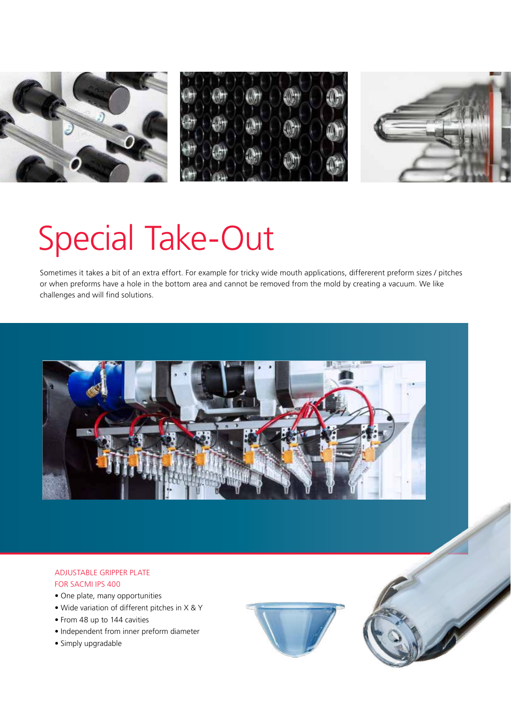

## Special Take-Out

Sometimes it takes a bit of an extra effort. For example for tricky wide mouth applications, differerent preform sizes / pitches or when preforms have a hole in the bottom area and cannot be removed from the mold by creating a vacuum. We like challenges and will find solutions.



#### Adjustable gripper plate for SACMI IPS 400

- One plate, many opportunities
- Wide variation of different pitches in X & Y
- From 48 up to 144 cavities
- • Independent from inner preform diameter
- • Simply upgradable